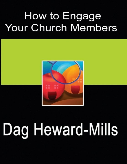# How to Engage Your Church Members



# Dag Heward-Mills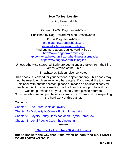# **How To Test Loyalty**

by Dag Heward-Mills

\* \* \* \* \*

Copyright 2008 Dag Heward-Mills

Published by Dag Heward-Mills on Smashwords.

E mail Dag Heward-Mills [info@daghewardmillsbooks.org](mailto:info@daghewardmillsbooks.org) [evangelist@daghewardmills.org](mailto:evangelist@daghewardmills.org)

Find out more about Dag Heward-Mills at:

[http://www.daghewardmills.org](http://www.daghewardmills.org/)

<http://www.daghewardmills.org/healingjesuscrusade/> <http://www.daghewardmills.org/lci/>

Unless otherwise stated, all Scripture quotations are taken from the King James Version of the Bible

Smashwords Edition, License Notes

This ebook is licensed for your personal enjoyment only. This ebook may not be re-sold or given away to other people. If you would like to share this book with another person, please purchase an additional copy for each recipient. If you're reading this book and did not purchase it, or it was not purchased for your use only, then please return to Smashwords.com and purchase your own copy. Thank you for respecting the hard work of this author.

**Contents** 

<span id="page-1-1"></span>[Chapter](#page-1-0) 1 -The Three Tests of Loyalty

Chapter 2 - Disloyalty Is Often a Fruit of [Immaturity](#page-7-0)

Chapter 3 - Loyalty Today Does not Mean Loyalty [Tomorrow](#page-10-0)

Chapter 4 - Loyal People Catch the [Anointing](#page-13-0)

\*\*\*\*\*\*\*\*

# **[Chapter](#page-1-1) 1 -The Three Tests of Loyalty**

<span id="page-1-0"></span>**But he knoweth the way that I take: when he hath tried me, I SHALL COME FORTH AS GOLD.**

**Job 23:10**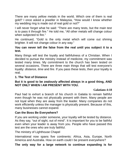There are many yellow metals in the world. Which one of them is real gold? I once asked a jeweller in Malaysia, "How would I know whether my wedding ring is made out of real gold or not?"

I will never forget what he said: "There are many tests, but the main test is to pass it through fire." He told me, "All other metals will change colour when subjected to fire."

He continued, "Gold is the only metal which will come out shining brighter. It will not change colour in any way."

# **You can never tell the false from the real until you subject it to a test.**

Many things will test the loyalty and faithfulness of a Christian. When I decided to pursue the ministry instead of medicine, my commitment was tested many times. My commitment to the church has been tested on several occasions. There are three main things that will test everyone's loyalty: *distance, time* and *fire*. If you pass these tests, then your loyalty is real.

# **1. The Test of Distance**

# **But it is good to be zealously affected always in a good thing, AND NOT ONLY WHEN I AM PRESENT WITH YOU.**

# **Galatians 4:18**

Paul had to exhort a branch of his church in Galatia to remain faithful even though he was not physically present with them. Many people are not loyal when they are away from the leader. Many companies do not work efficiently unless the manager is physically present. Because of this, many businesses cannot expand.

# **Can the Boss Be Everywhere?**

If you are working under someone, your loyalty will be tested by distance. As they say, "out of sight, out of mind". It is important for you to be faithful even when your leader is away from you. People who have passed this test are the ones who are truly faithful.

The ministry of Lighthouse Chapel

International now spans five continents: Africa, Asia, Europe, North America and Australia. How on earth could I be present everywhere?

# **The only way for a large network to continue expanding is for**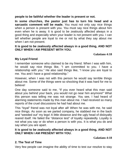# **people to be faithful whether the leader is present or not.**

**In some churches, the pastor just has to turn his head and a sarcastic comment will be made.** You must not only say nice things when a person is present with you. You must say nice things about him even when he is away. It is good to be zealously affected always in a good thing and especially when your leader is not present with you. I can tell whether people are loyal to me or not by what they say about me when I am not present.

# **It is good to be zealously affected always in a good thing, AND NOT ONLY WHEN I AM PRESENT WITH YOU.**

# **Galatians 4:18**

# **My Loyal Friend**

I remember someone who claimed to be my friend. When I was with him, he would say nice things like, "I am committed to you. I have a relationship with you." He also said things like, "I know you are loyal to me. You and I have a good relationship."

However, when I was not with this person he would say terrible things about me. Some of the things were so shocking that it was hard for me to believe!

One day someone said to me, "If you ever heard what this man said about you behind your back, you would not go near him anymore!" What this person was telling me was not strange. You see, I had heard of alarming statements made by this man about me. I had received so many reports of the cruel discussions he had had about me.

This "loyal" friend was not loyal after all! When he was with me, he said nice things. As soon as we parted company, he stabbed me in the back and "weeded out" my legs! A little distance and the ugly head of disloyalty reared itself. He failed the "distance test" of loyalty repeatedly. Loyalty is not what you say or do when a person is with you. It is what you do and say when you are apart.

# **It is good to be zealously affected always in a good thing, AND NOT ONLY WHEN I AM PRESENT WITH YOU.**

# **Galatians 4:18**

# **2. The Test of Time**

Very few people can imagine the ability of time to test our resolve to stay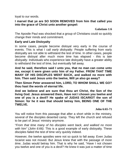loyal to our words.

# **I marvel that ye are SO SOON REMOVED from him that called you into the grace of Christ unto another gospel:**

**Galatians 1:6**

The Apostle Paul was shocked that a group of Christians could so quickly change their minds and commitment.

# **Early and Late Disloyalty**

In some cases, people become disloyal very early in the course of events. This is what I call *early disloyalty*. People suffering from early disloyalty are not able to withstand the test of time. In other cases, people become disloyal after much more time has elapsed - this is *late disloyalty*. Individuals who experience late disloyalty have a greater ability to withstand the test of time, but eventually fall away.

**And he said, therefore said I unto you, that no man can come unto me, except it were given unto him of my Father. FROM THAT TIME MANY OF HIS DISCIPLES WENT BACK, and walked no more with him. Then said Jesus unto the twelve, Will ye also go away?**

**Then Simon Peter answered him, LORD, TO WHOM SHALL WE GO? thou hast the words of eternal life.**

**And we believe and are sure that thou art Christ, the Son of the living God. Jesus answered them, Have not I chosen you twelve and one of you is a devil? He spake of JUDAS ISCARIOT the son of Simon: for he it was that should betray him, BEING ONE OF THE TWELVE.**

#### **John 6:65-71**

You will notice from this passage that after a short while in the ministry, several of the disciples deserted camp. They left the church and refused to be part of Jesus' ministry anymore.

"*From that time many of his disciples went back, and walked no more with him" (John 6:66).* This is a good example of early disloyalty. These disciples failed the test of time very quickly indeed.

However, the twelve apostles were not so quick to fall away. Even Judas Iscariot was not moved. But Jesus knew that with the passage of *more time*, Judas would betray him. That is why he said, "Have I not chosen you twelve and one of you is a devil? He knew it was just a matter of time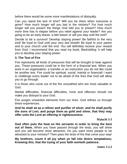before there would be some more manifestations of disloyalty.

Can you stand the test of time? Will you be there when everyone is gone? How much longer will you last in the ministry? For how much longer will you preach the things God told you to preach? How much more time has to elapse before you rebel against your leader? Are you going to be an early leaver, a late leaver or will you stay until the end?

Decide to be a survivor! Develop staying power! Be faithful to the very end! Be loyal to God until your very last breath! Be loyal to your pastor and to your church until the end. You will definitely receive your reward from God. I recommend that you read my book, *Backsliding*. It will help you to develop your staying power.

# **3. The Test of Fire**

Fire represents all kinds of pressures that will be brought to bear against you. These pressures could be in the form of a financial test. When you work in an organisation, a transfer or an instruction you do not like could be another test. Fire could be spiritual, social, marital or financial! I want to challenge every leader not to be afraid of the fires that God will allow you to go through.

It is those who come out of the fire unscathed who are most valuable to God.

Marital difficulties, financial difficulties, hurts and offences should not make you disloyal to your God.

Fire purges unwanted elements from our lives. God refines us through these experiences.

**And he shall sit as a refiner and purifier of silver: and he shall purify the sons of Levi, and purge them as gold and silver, that they may offer unto the Lord an offering in righteousness.**

# **Malachi 3:3**

**God often puts the heat on His servants in order to bring the best out of them.** When you have passed through the tests, you will shine and you will become more attractive. Do you want more people to be attracted to your ministry? Then pass the tests of fire that come your way!

**My brethren, count it all joy when ye fall into divers temptations; Knowing this, that the trying of your faith worketh patience.**

**James 1:2,3**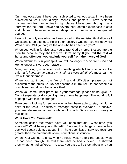On many occasions, I have been subjected to various tests. I have been subjected to tests from disloyal friends and pastors. I have suffered mistreatment from authorities in high places. I have been through many journeys for the Lord. I have had several near death experiences in cars and planes. I have experienced deep hurts from various unexpected sources.

I am not the only one who has been tested in the ministry. God allows all Christians to be offended. He will then observe whether you will obey His Word or not. Will you forgive the one who has offended you?

When you walk in forgiveness, you attract God's mercy. Blessed are the merciful because they shall receive God's mercy. **If you fail the test of hurts and offences, you exclude yourself from the mercy of God.**

When bitterness is in your spirit, you will no longer receive from God and He no longer answers your prayers.

Many years ago, a minister said something which I took seriously. He said, *"It is important to always maintain a sweet spirit!"* We must learn to live without bitterness.

When you go through the fire of financial difficulties, please do not succumb to the pressure. Do not become a murmurer. Do not become a complainer and do not become a thief!

When you come under pressure in your marriage, please do not give up. Do not separate or divorce. Fight to achieve happiness. The world is full of people with failed marriages.

Everyone is looking for someone who has been able to stay faithful in spite of the tests. The tests of marriage come to everyone. To survive, you need determination and a whole lot of faith. Be a survivor! I see you making it!

# **What Have You Survived?**

Someone asked me: "What have you been through? What have you survived? What have you suffered?" You see, the things a person has survived speak volumes about him. The credentials of survived tests are greater than the credentials of any educational institution.

When Paul wanted to show who he really was, he told the people what he had been through! He told them what he had survived. He showed them what he had suffered. The tests you pass tell a story about who you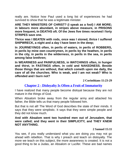really are. Notice how Paul used a long list of experiences he had survived to show that he was a legitimate minister.

**ARE THEY MINISTERS OF CHRIST? (I speak as a fool) I AM MORE; in labours more abundant, in stripes above measure, in PRISONS more frequent, in DEATHS oft. Of the Jews five times received I forty STRIPES save one.**

**Thrice was I BEATEN with rods, once was I stoned, thrice I suffered SHIPWRECK, a night and a day I have been in the deep;**

**In JOURNEYINGS often, in perils of waters, in perils of ROBBERS, in perils by mine own countrymen, in perils by the heathen, in perils in the city, in perils in the wilderness, in perils in the sea, in perils among false brethren;**

**In WEARINESS and PAINFULNESS, in WATCHINGS often, in hunger and thirst, in FASTINGS often, in cold and NAKEDNESS. Beside those things that are without, that which cometh upon me daily, the care of all the churches. Who is weak, and I am not weak? Who is offended and I burn not?**

**2 Corinthians 11:23-29**

# **Chapter 2 - Disloyalty Is Often a Fruit of [Immaturity](#page-1-1)**

<span id="page-7-0"></span>I have realized that many people become disloyal because they are not mature in the things of God.

When Absalom broke away from the regular army and attacked his father, the Bible tells us that many people followed him.

But that is not all! The Word of God describes the state of their minds. It says that they were simplistic. It says that they were simple people and they did not know much.

#### **And with Absalom went two hundred men out of Jerusalem, that were called; and they went in their SIMPLICITY, and THEY KNEW NOT ANYTHING.**

#### **2 Samuel 15:11**

You see, if you really understand what you are doing you may not go ahead with rebellion. That is why I preach and teach on disloyalty. The more we teach on this subject, the more awareness is created. It is not a good thing to be a Judas, an Absalom or Lucifer. These are bad names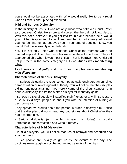you should not be associated with. Who would really like to be a rebel when all rebels end up being executed?

# **Mild and Serious Disloyalty**

In the ministry of Jesus, it was not only Judas who betrayed Christ. Peter also betrayed Christ. He swore and cursed that he did not know Jesus. Was this not a betrayal? If you got into trouble and needed help, would you not be disappointed if your friend said he did not know you? Would you not feel that he had betrayed you in your time of trouble? I know you would! But this is exactly what Peter did.

Yet, it is not only Peter who deserted Christ at the moment when he needed support. The other disciples were nowhere to be found. They all abandoned ship when it was most critical. That is betrayal! Yet, Christ did not put them in the same category as Judas. **Judas was manifesting what**

# **I call** *serious disloyalty* **and the other disciples were manifesting** *mild disloyalty***.**

# **Characteristics of Serious Disloyalty**

- In serious disloyalty the rebel concerned actually engineers an uprising, demonstration or revolt against authority. You will notice that the disciples did not engineer anything; they were victims of the circumstances. q In serious disloyalty, the traitor is often disloyal for monetary gains.

- Seriously disloyal people will sacrifice their friends for any flimsy reason. q Seriously disloyal people lie about you with the intention of hurting or destroying you.

They spread evil stories about the person in order to destroy him. Notice that the disciples did not spread any bad stories about Christ after they had deserted him.

Serious disloyalty (e.g. Lucifer, Absalom or Judas) is usually untreatable, not correctable and without remedy.

# **Characteristics of Mild Disloyalty**

- In mild disloyalty, you will notice features of betrayal and desertion and abandonment.

- Such people are usually caught up by the events of the day. The disciples were caught up by the momentous events of the night.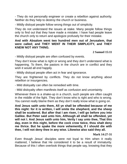- They do not personally engineer or create a rebellion against authority. Neither do they help to destroy the church or business.

- Mildly disloyal people follow wrong things out of simplicity.

They do not understand the issues at stake. Many people follow things only to find out that they have made a mistake. I have had people leave the church only to return and apologize profusely for their mistake.

#### **And with Absalom went two hundred men out of Jerusalem, that were called; and THEY WENT IN THEIR SIMPLICITY, and THEY KNEW NOT ANY THING.**

#### **2 Samuel 15:11**

- Mildly disloyal people are often confused by events.

They don't know what is right or wrong and they don't understand what is happening. To them, the pastors in the church are in conflict and they wish it would all end happily.

- Mildly disloyal people often act in fear and ignorance.

They are frightened by conflicts. They do not know anything about rebellion or insurgencies.

- Mild disloyalty can often be remedied with time.

- Mild disloyalty often manifests itself as confusion and uncertainty.

Whenever there is a shake-up in a church, such people are often caught in the middle of the fight. They don't know who is right and who is wrong. You cannot really blame them as they don't really know what is going on.

**And Jesus saith unto them, All ye shall be offended because of me this night: for it is written, I will smite the shepherd, and the sheep shall be scattered. But after that I am risen, I will go before you into Galilee. But Peter said unto him, Although all shall be offended, yet will not I. And Jesus saith unto him, Verily I say unto thee, That this day, even in this night, before the cock crow twice, thou shalt deny me thrice. But he spake the more vehemently, If I should die with thee, I will not deny thee in any wise. Likewise also said they all.**

#### **Mark 14:27-31**

Even though Jesus' disciples were not loyal to Him when it really mattered, I believe that He considered it to be a result of immaturity. Because of this I often overlook things that people say, knowing that they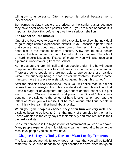will grow to understand. Often a person is critical because he is inexperienced.

Sometimes assistant pastors are critical of the senior pastor because they have never been head pastors before. If you are a senior pastor, it is important to check this before it grows into a serious rebellion.

# **The School of Hard Knocks**

One of the best ways to deal with mild disloyalty is to allow the individual to go through certain experiences himself. If your associate pastor feels that you are not a good head pastor, one of the best things to do is to send him to the "school of hard knocks". Allow him to be a senior minister. Let him pioneer a church. He will mature in no time! The school of hard knocks issues certificates of maturity. You will also receive a diploma in understanding from this school.

As he pastors a church himself and has people under him, he will begin to appreciate the responsibilities and pressures that come upon a leader. There are some people who are not able to appreciate these realities without experiencing being a head pastor themselves. However, some ministers have the grace to assist without going through this 'school'.

After the disciples had abandoned Jesus, you will notice that He did not rebuke them for betraying Him. Jesus understood them! Jesus knew that it was a stage of development and gave them another chance. He just said to them, "Go into the world and preach the Gospel." Jesus was sending the disciples to the school of hard knocks. When you read the letters of Peter, you will realise that he met various rebellious people in his ministry. He learnt first-hand about loyalty.

**When you give people a chance, they often turn out very well.** The disciples became so loyal to Christ that many of them died for their faith. Those who fled in the early days of their ministry had matured into faithful diehard loyalists.

To die for someone is the highest form of commitment you can ever have. Many people experiencing mild disloyalty can turn around to become the most loyal people you could ever have.

# <span id="page-10-0"></span>**Chapter 3 - Loyalty Today Does not Mean Loyalty [Tomorrow](#page-1-1)**

The fact that you are faithful today does not mean that you will be faithful tomorrow. A Christian needs to be loyal because the devil does not go on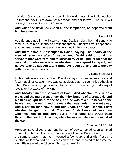vacation. Jesus overcame the devil in the wilderness. The Bible teaches us that the devil went away for a season and not forever. The devil will leave you for a while but not forever.

#### **And when the devil had ended all the temptation, he departed from him for a season.**

#### **Luke 4:13**

At different times in the history of King David's reign, he had sons who tried to usurp his authority and take the throne. The first time it happened, a young man named Absalom was involved in the conspiracy.

**And there came a messenger to David, saying, The hearts of the men of Israel are after Absalom. And David said unto all his servants that were with him at Jerusalem, Arise, and let us flee; for we shall not else escape from Absalom: make speed to depart, lest he overtake us suddenly, and bring evil upon us, and smite the city with the edge of the sword.**

#### **2 Samuel 15:13,14**

In this particular instance, Joab, David's army commander, was loyal and fought against Absalom. He was so zealous that he even killed Absalom when David was crying for mercy for his son. This was a great display of loyalty to the cause of the King.

**And Absalom met the servants of David. And Absalom rode upon a mule, and the mule went under the thick boughs of a great oak, and his head caught hold of the oak, and he was taken up between the heaven and the earth; and the mule that was under him went away. And a certain man saw it, and told Joab, and said, Behold, I saw Absalom hanged in an oak. Then said Joab, I may not tarry thus with thee. And he took three darts in his hand, and thrust them through the heart of Absalom, while he was yet alive in the midst of the oak.**

#### **2 Samuel 18:9,10,14**

However, several years later another son of David, named Adonijah, tried to take the throne. This time Joab was not loyal to David. It was exactly the same situation that had happened a few years earlier with Absalom. Another child who had no business on the throne, wanted to become the king. Please read the following Scripture carefully.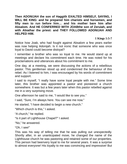**Then ADONIJAH the son of Haggith EXALTED HIMSELF, SAYING, I WILL BE KING: and he prepared him chariots and horsemen, and fifty men to run before him… and his mother bare him after Absalom. And HE CONFERRED WITH JOABthe son of Zeruiah, and with Abiathar the priest: and THEY FOLLOWED ADONIJAH AND HELPED HIM.**

**1 Kings 1:5-7**

Notice how Joab, who had fought against Absalom a few years earlier was now helping Adonijah. Is it not ironic that someone who was once loyal to David could become disloyal?

I remember a brother who was so loyal to me. He would stand up at meetings and declare his commitment each time. He was noted for his proclamations and utterances about his commitment to me.

One day, at a meeting, we were discussing the actions of a rebellious pastor. This gentleman stood up and condemned the behaviour of this rebel. As I listened to him, I was encouraged by his words of commitment and support.

I said to myself, "I really have some loyal people with me." Some time later, this brother was appointed a pastor and pioneered a church somewhere. It was but a few years later when this pastor rebelled against me in a very surprising move.

One afternoon he said to me, "I would like to see you."

I said, "Sure, I'm always here. You can see me now."

He started, "I have decided to begin a new church."

"Which church is this," I asked.

"A church," he replied.

"Is it part of Lighthouse Chapel?" I asked.

"No," he answered.

"Oh, I see!"

This was his way of telling me that he was pulling out unexpectedly. Shortly after, in an unanticipated move, he changed the name of the Lighthouse church he was pastoring and retained some of our properties. This person had beenvery loyal to me for several years. It was a surprise to almost everyone! His loyalty to me was convincing and impressive! But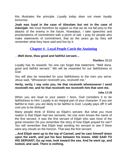this illustrates the principle. *Loyalty today does not mean loyalty tomorrow.*

**Joab was loyal in the case of Absolam but not in the case of Adonijah.** We must therefore be vigilant so that we do not fall prey to the attacks of the enemy in the future. Nowadays, I take speeches and proclamations of commitment with a pinch of salt. I pray for people who make statements of commitment, that as the years go by they will remember what they have said and live by it.

# **Chapter 4 - Loyal People Catch the [Anointing](#page-1-1)**

#### <span id="page-13-0"></span>…**Well done, thou good and faithful servant…**

#### **Matthew 25:21**

Loyalty has its rewards. No one can forget that statement, "Well done, good and faithful servant." We will be rewarded for our faithfulness to God.

You will also be rewarded for your faithfulness to the men you serve. Jesus said, "Whosoever receiveth you, receiveth me."

#### **Verily, verily, I say unto you, He that receiveth whomsoever I send receiveth me; and he that receiveth me receiveth him that sent me.**

#### **John 13:20**

When you are loyal to your pastor / boss, God considers it to be faithfulness to Him. Loyalty is an integral part of your character. If you are faithful to man, you are likely to be faithful to God. Loyalty pays off! It will cost you to be disloyal!

Many people think of Elisha as Elijah's servant. But what you must realize is that Elijah had two servants. No one even knows the name of the first servant. It was the first servant of Elijah who saw most of the great miracles! Do you remember the story of how Elijah prayed for rain? You will remember that Elijah kept sending his servant to see if there were any clouds on the horizon. That was the first *servant*.

**...And Elijah went up to the top of Carmel; and he cast himself down upon the earth, and put his face between his knees. AND SAID TO HIS SERVANT, Go up now, look toward the sea. And he went up, and looked, and said, There is nothing.**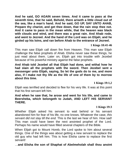**And he said, GO AGAIN seven times. And it came to pass at the seventh time, that he said, Behold, there ariseth a little cloud out of the sea, like a man's hand. And he said, GO UP, SAY UNTO AHAB, Prepare thy chariot, and get thee down, that the rain stop thee not. And it came to pass in the mean while, that the heaven was black with clouds and wind, and there was a great rain. And Ahab rode, and went to Jezreel. And the hand of the Lord was on Elijah; and he girded up his loins, and ran before Ahab to the entrance of Jezreel.**

#### **1 Kings 18:41-46**

This man saw Elijah call down fire from Heaven. This man saw Elijah challenge the false prophets of Ahab. Elisha never saw these things, he just read about them. Later on, Elijah got into trouble with Jezebel because of his powerful ministry against the false prophets.

**And Ahab told Jezebel all that Elijah had done, and withal how he had slain all the prophets with the sword. Then Jezebel sent a messenger unto Elijah, saying, So let the gods do to me, and more also, if I make not thy life as the life of one of them by to morrow about this time.**

**1 Kings 19:1,2**

Elijah was terrified and decided to flee for his very life. It was at this point that his first servant left him.

#### **And when he saw that, he arose and went for his life, and came to Beersheba, which belongeth to Judah, AND LEFT HIS SERVANT THERE.**

#### **1 Kings 19:3**

Whether Elijah asked his servant to wait behind or his servant abandoned him for fear of his life, no one knows. Whatever the case, *this servant did not stay till the end.* This is the last we hear of him. How sad! This man could have been the next anointed prophet of the Lord. Perhaps his name would have filled several chapters of the Bible.

When Elijah got to Mount Horeb, the Lord spoke to him about several things. One of the things was about getting a new servant to replace the old guy who had left him. This is how Elisha came to replace the first servant!

…**and Elisha the son of Shaphat of Abelmeholah shall thou anoint**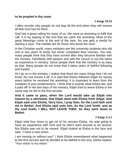#### **to be prophet in thy room.**

#### **1 Kings 19:16**

I often wonder why people do not stay till the end when they will receive all that God has for them.

God has a great calling for many of us. We need an anointing to fulfil that call. It is by staying to the end that we catch the anointing. Most of the great blessings come at the end of the race. No one gets a medal for starting a race. The medals are for those who finish the race!

In the Christian world, many ministers are like university students who did one or two years of study, but never completed their courses. You see, many people think that they have arrived after they become familiar with the ministry. Familiarity with pastors and with the church is not the same as experience in ministry. Some people think that the ministry is as easy as that. Many people do not know that it takes years of faithful following and loyalty!

As I go on in the ministry, I realize that there are many things that I do not know. No one knows it all. It is said that Elisha followed Elijah for twenty years before he received the anointing. It is important to learn from the mistakes of your predecessors. I think that is exactly what Elisha did, and it paid off! In the last days of his ministry, Elijah tried to leave Elisha in the same way he did to the first servant.

**And it came to pass, when the Lord would take up Elijah into heaven by a whirlwind, that Elijah went with Elisha from Gilgal. And Elijah said unto Elisha, Tarry here, I pray thee; for the Lord hath sent me to Bethel. And Elisha said unto him, As the Lord liveth, and as thy soul liveth, I WILL NOT LEAVE THEE. So they went down to Bethel.**

#### **2 Kings 2:1,2**

Elijah tried four times to get rid of his servant Elisha. He was going to have an experience with God and he didn't want anyone to be around. But Elisha was not to be moved. Elijah looked at Elisha in the face and said, "I have a new vision.

I am moving on without you!" I think Elisha remembered what happened to the first servant and he decided to be faithful to the end. Elisha replied, "Your vision is my vision."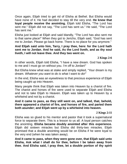Once again, Elijah tried to get rid of Elisha at Bethel. But Elisha would have none of it. He had decided to stay till the very end. **He knew that loyal people receive the anointing.** Elijah told Elisha, "The Lord has sent me." Elijah did not say, "The Lord has sent us." He said, "The Lord has sent me."

Elisha just looked at Elijah and said blandly, "The Lord has also sent me to that same place!" When they got to Jericho, Elijah said, "God has sent me to Jordan. Please go back home. There is no place for you anymore."

# **And Elijah said unto him, Tarry, I pray thee, here: for the Lord hath sent me to Jordan. And he said, As the Lord liveth, and as thy soul liveth, I will not leave thee. And they two went on.**

**2 Kings 2:6**

In other words, Elijah told Elisha, "I have a new dream. God has spoken to me and I must go on without you. I'm off to Jordan!"

But Elisha knew what was at stake and simply replied, "Your dream is my dream. *Whatever you want to do is what I want to do!"*

In the end, Elisha was an eyewitness to that precious experience of Elijah being caught up into Heaven.

Many people think that Elijah was taken into Heaven by a chariot of fire. The chariot and horses of fire were used to separate Elijah and Elisha and not to take Elijah to Heaven. Elijah was taken up to Heaven by a whirlwind and not by a chariot.

#### **And it came to pass, as they still went on, and talked, that, behold, there appeared a chariot of fire, and horses of fire, and parted them both asunder; and Elijah went up by a whirlwind into heaven.**

# **2 Kings 2:11**

Elisha was so glued to his mentor and pastor that it took a supernatural force to separate them. This is a lesson to us all. A loyal person catches the anointing. **Elisha became doubly anointed after this experience.** Elijah did sixteen miracles but Elisha did thirty-two miracles. Elijah promised that a double anointing would be on Elisha if he were loyal to the very end (when he was taken away).

**And it came to pass, when they were gone over, that Elijah said unto Elisha, Ask what I shall do for thee, before I be taken away from thee. And Elisha said, I pray thee, let a double portion of thy spirit**